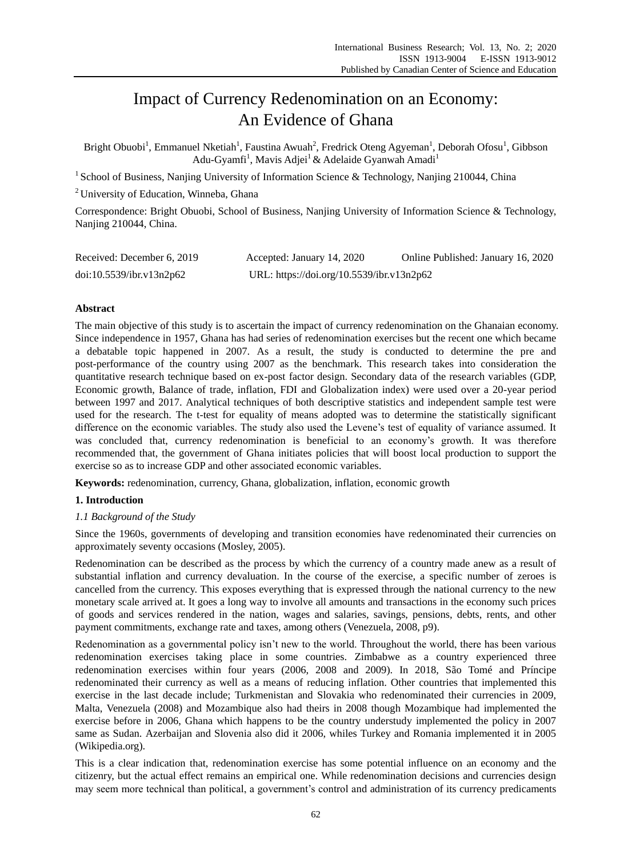# Impact of Currency Redenomination on an Economy: An Evidence of Ghana

Bright Obuobi<sup>1</sup>, Emmanuel Nketiah<sup>1</sup>, Faustina Awuah<sup>2</sup>, Fredrick Oteng Agyeman<sup>1</sup>, Deborah Ofosu<sup>1</sup>, Gibbson Adu-Gyamfi<sup>1</sup>, Mavis Adjei<sup>1</sup> & Adelaide Gyanwah Amadi<sup>1</sup>

<sup>1</sup> School of Business, Nanjing University of Information Science & Technology, Nanjing 210044, China

<sup>2</sup> University of Education, Winneba, Ghana

Correspondence: Bright Obuobi, School of Business, Nanjing University of Information Science & Technology, Nanjing 210044, China.

| Received: December 6, 2019 | Accepted: January 14, 2020                | Online Published: January 16, 2020 |
|----------------------------|-------------------------------------------|------------------------------------|
| doi:10.5539/ibr.v13n2p62   | URL: https://doi.org/10.5539/ibr.v13n2p62 |                                    |

# **Abstract**

The main objective of this study is to ascertain the impact of currency redenomination on the Ghanaian economy. Since independence in 1957, Ghana has had series of redenomination exercises but the recent one which became a debatable topic happened in 2007. As a result, the study is conducted to determine the pre and post-performance of the country using 2007 as the benchmark. This research takes into consideration the quantitative research technique based on ex-post factor design. Secondary data of the research variables (GDP, Economic growth, Balance of trade, inflation, FDI and Globalization index) were used over a 20-year period between 1997 and 2017. Analytical techniques of both descriptive statistics and independent sample test were used for the research. The t-test for equality of means adopted was to determine the statistically significant difference on the economic variables. The study also used the Levene's test of equality of variance assumed. It was concluded that, currency redenomination is beneficial to an economy's growth. It was therefore recommended that, the government of Ghana initiates policies that will boost local production to support the exercise so as to increase GDP and other associated economic variables.

**Keywords:** redenomination, currency, Ghana, globalization, inflation, economic growth

# **1. Introduction**

# *1.1 Background of the Study*

Since the 1960s, governments of developing and transition economies have redenominated their currencies on approximately seventy occasions (Mosley, 2005).

Redenomination can be described as the process by which the currency of a country made anew as a result of substantial inflation and currency devaluation. In the course of the exercise, a specific number of zeroes is cancelled from the currency. This exposes everything that is expressed through the national currency to the new monetary scale arrived at. It goes a long way to involve all amounts and transactions in the economy such prices of goods and services rendered in the nation, wages and salaries, savings, pensions, debts, rents, and other payment commitments, exchange rate and taxes, among others (Venezuela, 2008, p9).

Redenomination as a governmental policy isn't new to the world. Throughout the world, there has been various redenomination exercises taking place in some countries. Zimbabwe as a country experienced three redenomination exercises within four years (2006, 2008 and 2009). In 2018, São Tomé and Príncipe redenominated their currency as well as a means of reducing inflation. Other countries that implemented this exercise in the last decade include; Turkmenistan and Slovakia who redenominated their currencies in 2009, Malta, Venezuela (2008) and Mozambique also had theirs in 2008 though Mozambique had implemented the exercise before in 2006, Ghana which happens to be the country understudy implemented the policy in 2007 same as Sudan. Azerbaijan and Slovenia also did it 2006, whiles Turkey and Romania implemented it in 2005 (Wikipedia.org).

This is a clear indication that, redenomination exercise has some potential influence on an economy and the citizenry, but the actual effect remains an empirical one. While redenomination decisions and currencies design may seem more technical than political, a government's control and administration of its currency predicaments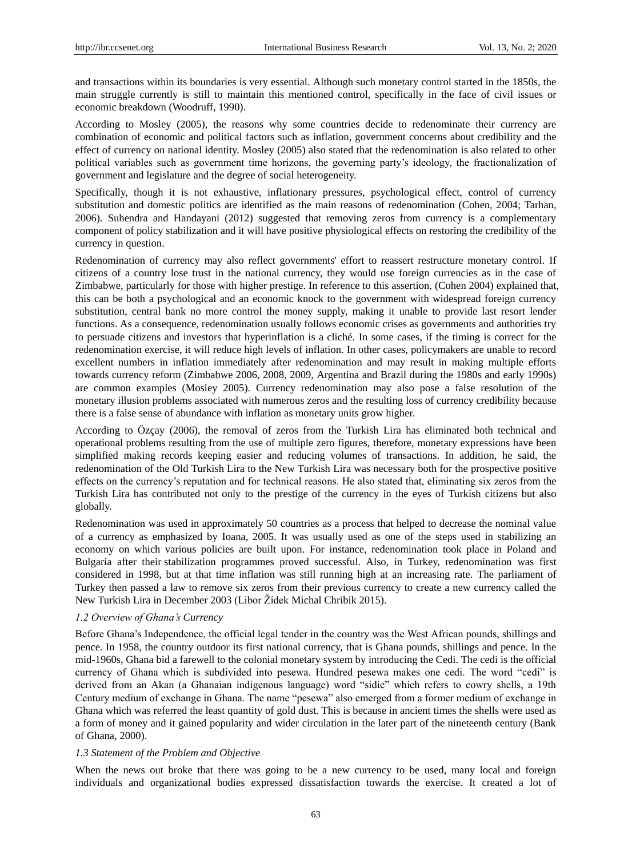and transactions within its boundaries is very essential. Although such monetary control started in the 1850s, the main struggle currently is still to maintain this mentioned control, specifically in the face of civil issues or economic breakdown (Woodruff, 1990).

According to Mosley (2005), the reasons why some countries decide to redenominate their currency are combination of economic and political factors such as inflation, government concerns about credibility and the effect of currency on national identity. Mosley (2005) also stated that the redenomination is also related to other political variables such as government time horizons, the governing party's ideology, the fractionalization of government and legislature and the degree of social heterogeneity.

Specifically, though it is not exhaustive, inflationary pressures, psychological effect, control of currency substitution and domestic politics are identified as the main reasons of redenomination (Cohen, 2004; Tarhan, 2006). Suhendra and Handayani (2012) suggested that removing zeros from currency is a complementary component of policy stabilization and it will have positive physiological effects on restoring the credibility of the currency in question.

Redenomination of currency may also reflect governments' effort to reassert restructure monetary control. If citizens of a country lose trust in the national currency, they would use foreign currencies as in the case of Zimbabwe, particularly for those with higher prestige. In reference to this assertion, (Cohen 2004) explained that, this can be both a psychological and an economic knock to the government with widespread foreign currency substitution, central bank no more control the money supply, making it unable to provide last resort lender functions. As a consequence, redenomination usually follows economic crises as governments and authorities try to persuade citizens and investors that hyperinflation is a cliché. In some cases, if the timing is correct for the redenomination exercise, it will reduce high levels of inflation. In other cases, policymakers are unable to record excellent numbers in inflation immediately after redenomination and may result in making multiple efforts towards currency reform (Zimbabwe 2006, 2008, 2009, Argentina and Brazil during the 1980s and early 1990s) are common examples (Mosley 2005). Currency redenomination may also pose a false resolution of the monetary illusion problems associated with numerous zeros and the resulting loss of currency credibility because there is a false sense of abundance with inflation as monetary units grow higher.

According to Özçay (2006), the removal of zeros from the Turkish Lira has eliminated both technical and operational problems resulting from the use of multiple zero figures, therefore, monetary expressions have been simplified making records keeping easier and reducing volumes of transactions. In addition, he said, the redenomination of the Old Turkish Lira to the New Turkish Lira was necessary both for the prospective positive effects on the currency's reputation and for technical reasons. He also stated that, eliminating six zeros from the Turkish Lira has contributed not only to the prestige of the currency in the eyes of Turkish citizens but also globally.

Redenomination was used in approximately 50 countries as a process that helped to decrease the nominal value of a currency as emphasized by Ioana, 2005. It was usually used as one of the steps used in stabilizing an economy on which various policies are built upon. For instance, redenomination took place in Poland and Bulgaria after their stabilization programmes proved successful. Also, in Turkey, redenomination was first considered in 1998, but at that time inflation was still running high at an increasing rate. The parliament of Turkey then passed a law to remove six zeros from their previous currency to create a new currency called the New Turkish Lira in December 2003 (Libor Žídek Michal Chribik 2015).

## *1.2 Overview of Ghana's Currency*

Before Ghana's Independence, the official legal tender in the country was the West African pounds, shillings and pence. In 1958, the country outdoor its first national currency, that is Ghana pounds, shillings and pence. In the mid-1960s, Ghana bid a farewell to the colonial monetary system by introducing the Cedi. The cedi is the official currency of Ghana which is subdivided into pesewa. Hundred pesewa makes one cedi. The word "cedi" is derived from an Akan (a Ghanaian indigenous language) word "sidie" which refers to cowry shells, a 19th Century medium of exchange in Ghana. The name "pesewa" also emerged from a former medium of exchange in Ghana which was referred the least quantity of gold dust. This is because in ancient times the shells were used as a form of money and it gained popularity and wider circulation in the later part of the nineteenth century (Bank of Ghana, 2000).

## *1.3 Statement of the Problem and Objective*

When the news out broke that there was going to be a new currency to be used, many local and foreign individuals and organizational bodies expressed dissatisfaction towards the exercise. It created a lot of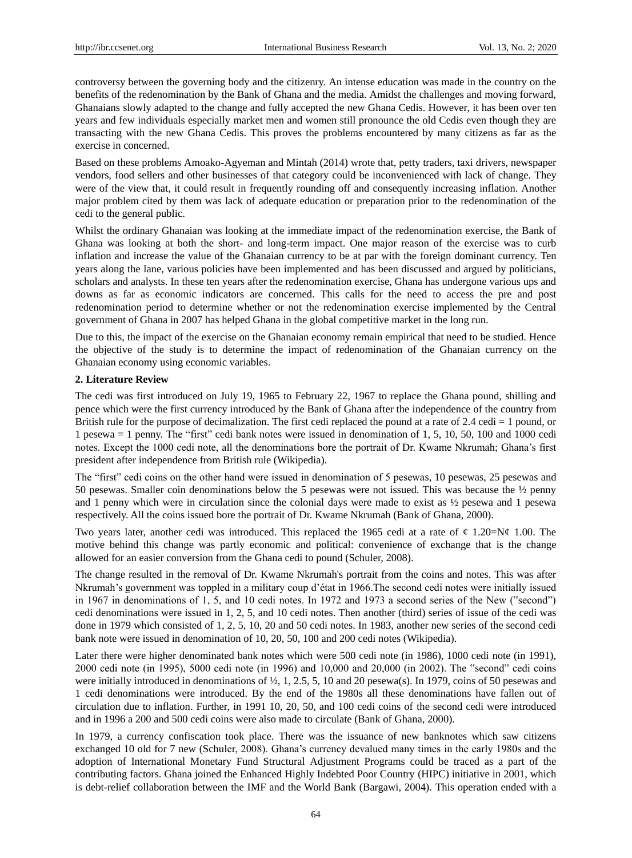controversy between the governing body and the citizenry. An intense education was made in the country on the benefits of the redenomination by the Bank of Ghana and the media. Amidst the challenges and moving forward, Ghanaians slowly adapted to the change and fully accepted the new Ghana Cedis. However, it has been over ten years and few individuals especially market men and women still pronounce the old Cedis even though they are transacting with the new Ghana Cedis. This proves the problems encountered by many citizens as far as the exercise in concerned.

Based on these problems Amoako-Agyeman and Mintah (2014) wrote that, petty traders, taxi drivers, newspaper vendors, food sellers and other businesses of that category could be inconvenienced with lack of change. They were of the view that, it could result in frequently rounding off and consequently increasing inflation. Another major problem cited by them was lack of adequate education or preparation prior to the redenomination of the cedi to the general public.

Whilst the ordinary Ghanaian was looking at the immediate impact of the redenomination exercise, the Bank of Ghana was looking at both the short- and long-term impact. One major reason of the exercise was to curb inflation and increase the value of the Ghanaian currency to be at par with the foreign dominant currency. Ten years along the lane, various policies have been implemented and has been discussed and argued by politicians, scholars and analysts. In these ten years after the redenomination exercise, Ghana has undergone various ups and downs as far as economic indicators are concerned. This calls for the need to access the pre and post redenomination period to determine whether or not the redenomination exercise implemented by the Central government of Ghana in 2007 has helped Ghana in the global competitive market in the long run.

Due to this, the impact of the exercise on the Ghanaian economy remain empirical that need to be studied. Hence the objective of the study is to determine the impact of redenomination of the Ghanaian currency on the Ghanaian economy using economic variables.

## **2. Literature Review**

The cedi was first introduced on July 19, 1965 to February 22, 1967 to replace the Ghana pound, shilling and pence which were the first currency introduced by the Bank of Ghana after the independence of the country from British rule for the purpose of decimalization. The first cedi replaced the pound at a rate of 2.4 cedi = 1 pound, or 1 pesewa = 1 penny. The "first" cedi bank notes were issued in denomination of 1, 5, 10, 50, 100 and 1000 cedi notes. Except the 1000 cedi note, all the denominations bore the portrait of Dr. Kwame Nkrumah; Ghana's first president after independence from British rule (Wikipedia).

The "first" cedi coins on the other hand were issued in denomination of 5 pesewas, 10 pesewas, 25 pesewas and 50 pesewas. Smaller coin denominations below the 5 pesewas were not issued. This was because the ½ penny and 1 penny which were in circulation since the colonial days were made to exist as ½ pesewa and 1 pesewa respectively. All the coins issued bore the portrait of Dr. Kwame Nkrumah (Bank of Ghana, 2000).

Two years later, another cedi was introduced. This replaced the 1965 cedi at a rate of  $\varphi$  1.20=N $\varphi$  1.00. The motive behind this change was partly economic and political: convenience of exchange that is the change allowed for an easier conversion from the Ghana cedi to pound (Schuler, 2008).

The change resulted in the removal of Dr. Kwame Nkrumah's portrait from the coins and notes. This was after Nkrumah's government was toppled in a military coup d'état in 1966.The second cedi notes were initially issued in 1967 in denominations of 1, 5, and 10 cedi notes. In 1972 and 1973 a second series of the New ("second") cedi denominations were issued in 1, 2, 5, and 10 cedi notes. Then another (third) series of issue of the cedi was done in 1979 which consisted of 1, 2, 5, 10, 20 and 50 cedi notes. In 1983, another new series of the second cedi bank note were issued in denomination of 10, 20, 50, 100 and 200 cedi notes (Wikipedia).

Later there were higher denominated bank notes which were 500 cedi note (in 1986), 1000 cedi note (in 1991), 2000 cedi note (in 1995), 5000 cedi note (in 1996) and 10,000 and 20,000 (in 2002). The "second" cedi coins were initially introduced in denominations of  $\frac{1}{2}$ , 1, 2.5, 5, 10 and 20 pesewa(s). In 1979, coins of 50 pesewas and 1 cedi denominations were introduced. By the end of the 1980s all these denominations have fallen out of circulation due to inflation. Further, in 1991 10, 20, 50, and 100 cedi coins of the second cedi were introduced and in 1996 a 200 and 500 cedi coins were also made to circulate (Bank of Ghana, 2000).

In 1979, a currency confiscation took place. There was the issuance of new banknotes which saw citizens exchanged 10 old for 7 new (Schuler, 2008). Ghana's currency devalued many times in the early 1980s and the adoption of International Monetary Fund Structural Adjustment Programs could be traced as a part of the contributing factors. Ghana joined the Enhanced Highly Indebted Poor Country (HIPC) initiative in 2001, which is debt-relief collaboration between the IMF and the World Bank (Bargawi, 2004). This operation ended with a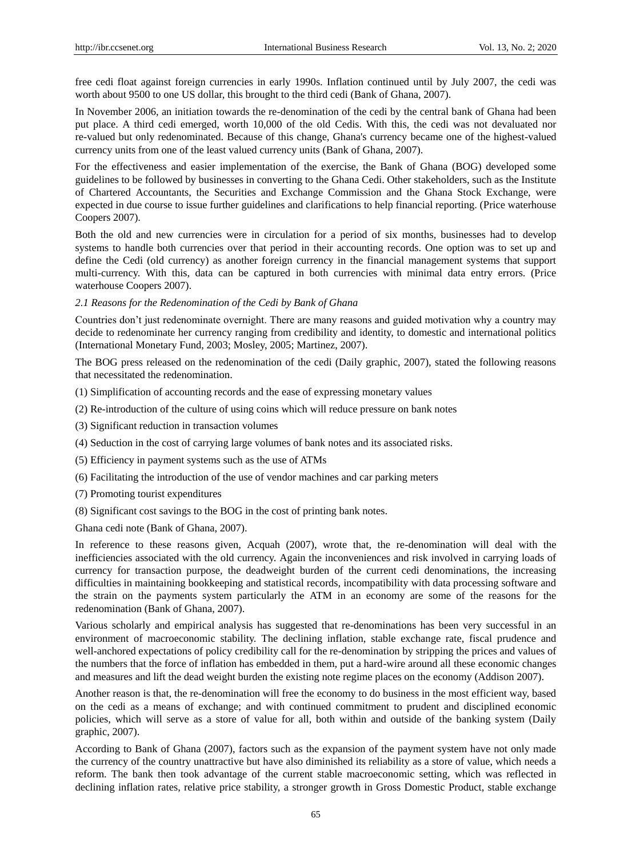free cedi float against foreign currencies in early 1990s. Inflation continued until by July 2007, the cedi was worth about 9500 to one US dollar, this brought to the third cedi (Bank of Ghana, 2007).

In November 2006, an initiation towards the re-denomination of the cedi by the central bank of Ghana had been put place. A third cedi emerged, worth 10,000 of the old Cedis. With this, the cedi was not devaluated nor re-valued but only redenominated. Because of this change, Ghana's currency became one of the highest-valued currency units from one of the least valued currency units (Bank of Ghana, 2007).

For the effectiveness and easier implementation of the exercise, the Bank of Ghana (BOG) developed some guidelines to be followed by businesses in converting to the Ghana Cedi. Other stakeholders, such as the Institute of Chartered Accountants, the Securities and Exchange Commission and the Ghana Stock Exchange, were expected in due course to issue further guidelines and clarifications to help financial reporting. (Price waterhouse Coopers 2007).

Both the old and new currencies were in circulation for a period of six months, businesses had to develop systems to handle both currencies over that period in their accounting records. One option was to set up and define the Cedi (old currency) as another foreign currency in the financial management systems that support multi-currency. With this, data can be captured in both currencies with minimal data entry errors. (Price waterhouse Coopers 2007).

## *2.1 Reasons for the Redenomination of the Cedi by Bank of Ghana*

Countries don't just redenominate overnight. There are many reasons and guided motivation why a country may decide to redenominate her currency ranging from credibility and identity, to domestic and international politics (International Monetary Fund, 2003; Mosley, 2005; Martinez, 2007).

The BOG press released on the redenomination of the cedi (Daily graphic, 2007), stated the following reasons that necessitated the redenomination.

- (1) Simplification of accounting records and the ease of expressing monetary values
- (2) Re-introduction of the culture of using coins which will reduce pressure on bank notes
- (3) Significant reduction in transaction volumes
- (4) Seduction in the cost of carrying large volumes of bank notes and its associated risks.
- (5) Efficiency in payment systems such as the use of ATMs
- (6) Facilitating the introduction of the use of vendor machines and car parking meters
- (7) Promoting tourist expenditures
- (8) Significant cost savings to the BOG in the cost of printing bank notes.

Ghana cedi note (Bank of Ghana, 2007).

In reference to these reasons given, Acquah (2007), wrote that, the re-denomination will deal with the inefficiencies associated with the old currency. Again the inconveniences and risk involved in carrying loads of currency for transaction purpose, the deadweight burden of the current cedi denominations, the increasing difficulties in maintaining bookkeeping and statistical records, incompatibility with data processing software and the strain on the payments system particularly the ATM in an economy are some of the reasons for the redenomination (Bank of Ghana, 2007).

Various scholarly and empirical analysis has suggested that re-denominations has been very successful in an environment of macroeconomic stability. The declining inflation, stable exchange rate, fiscal prudence and well-anchored expectations of policy credibility call for the re-denomination by stripping the prices and values of the numbers that the force of inflation has embedded in them, put a hard-wire around all these economic changes and measures and lift the dead weight burden the existing note regime places on the economy (Addison 2007).

Another reason is that, the re-denomination will free the economy to do business in the most efficient way, based on the cedi as a means of exchange; and with continued commitment to prudent and disciplined economic policies, which will serve as a store of value for all, both within and outside of the banking system (Daily graphic, 2007).

According to Bank of Ghana (2007), factors such as the expansion of the payment system have not only made the currency of the country unattractive but have also diminished its reliability as a store of value, which needs a reform. The bank then took advantage of the current stable macroeconomic setting, which was reflected in declining inflation rates, relative price stability, a stronger growth in Gross Domestic Product, stable exchange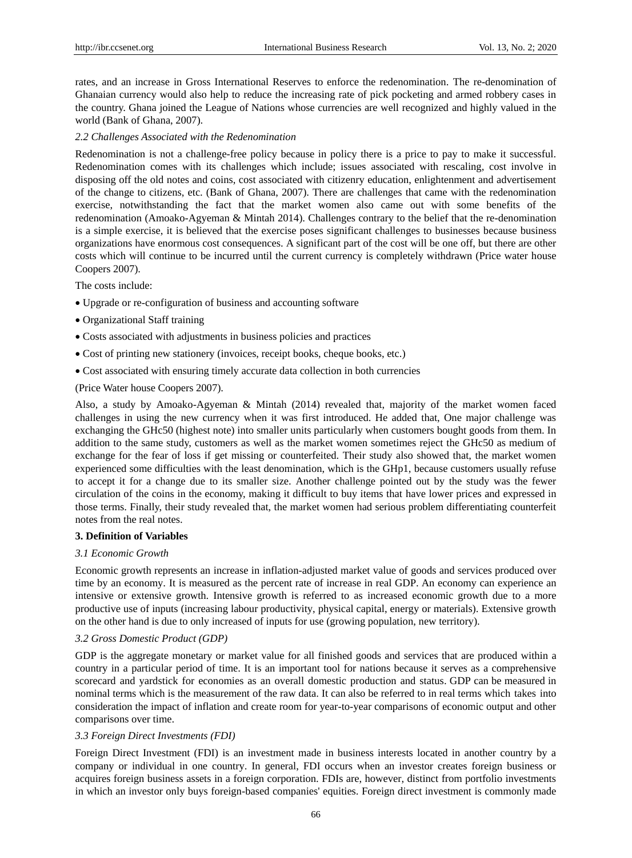rates, and an increase in Gross International Reserves to enforce the redenomination. The re-denomination of Ghanaian currency would also help to reduce the increasing rate of pick pocketing and armed robbery cases in the country. Ghana joined the League of Nations whose currencies are well recognized and highly valued in the world (Bank of Ghana, 2007).

## *2.2 Challenges Associated with the Redenomination*

Redenomination is not a challenge-free policy because in policy there is a price to pay to make it successful. Redenomination comes with its challenges which include; issues associated with rescaling, cost involve in disposing off the old notes and coins, cost associated with citizenry education, enlightenment and advertisement of the change to citizens, etc. (Bank of Ghana, 2007). There are challenges that came with the redenomination exercise, notwithstanding the fact that the market women also came out with some benefits of the redenomination (Amoako-Agyeman & Mintah 2014). Challenges contrary to the belief that the re-denomination is a simple exercise, it is believed that the exercise poses significant challenges to businesses because business organizations have enormous cost consequences. A significant part of the cost will be one off, but there are other costs which will continue to be incurred until the current currency is completely withdrawn (Price water house Coopers 2007).

The costs include:

- Upgrade or re-configuration of business and accounting software
- Organizational Staff training
- Costs associated with adjustments in business policies and practices
- Cost of printing new stationery (invoices, receipt books, cheque books, etc.)
- Cost associated with ensuring timely accurate data collection in both currencies

#### (Price Water house Coopers 2007).

Also, a study by Amoako-Agyeman & Mintah (2014) revealed that, majority of the market women faced challenges in using the new currency when it was first introduced. He added that, One major challenge was exchanging the GHc50 (highest note) into smaller units particularly when customers bought goods from them. In addition to the same study, customers as well as the market women sometimes reject the GHc50 as medium of exchange for the fear of loss if get missing or counterfeited. Their study also showed that, the market women experienced some difficulties with the least denomination, which is the GHp1, because customers usually refuse to accept it for a change due to its smaller size. Another challenge pointed out by the study was the fewer circulation of the coins in the economy, making it difficult to buy items that have lower prices and expressed in those terms. Finally, their study revealed that, the market women had serious problem differentiating counterfeit notes from the real notes.

#### **3. Definition of Variables**

## *3.1 Economic Growth*

Economic growth represents an increase in inflation-adjusted market value of goods and services produced over time by an economy. It is measured as the percent rate of increase in real GDP. An economy can experience an intensive or extensive growth. Intensive growth is referred to as increased economic growth due to a more productive use of inputs (increasing labour productivity, physical capital, energy or materials). Extensive growth on the other hand is due to only increased of inputs for use (growing population, new territory).

#### *3.2 Gross Domestic Product (GDP)*

GDP is the aggregate monetary or market value for all finished goods and services that are produced within a country in a particular period of time. It is an important tool for nations because it serves as a comprehensive scorecard and yardstick for economies as an overall domestic production and status. GDP can be measured in nominal terms which is the measurement of the raw data. It can also be referred to in real terms which takes into consideration the impact of inflation and create room for year-to-year comparisons of economic output and other comparisons over time.

# *3.3 Foreign Direct Investments (FDI)*

Foreign Direct Investment (FDI) is an investment made in business interests located in another country by a company or individual in one country. In general, FDI occurs when an investor creates foreign business or acquires foreign business assets in a foreign corporation. FDIs are, however, distinct from portfolio investments in which an investor only buys foreign-based companies' equities. Foreign direct investment is commonly made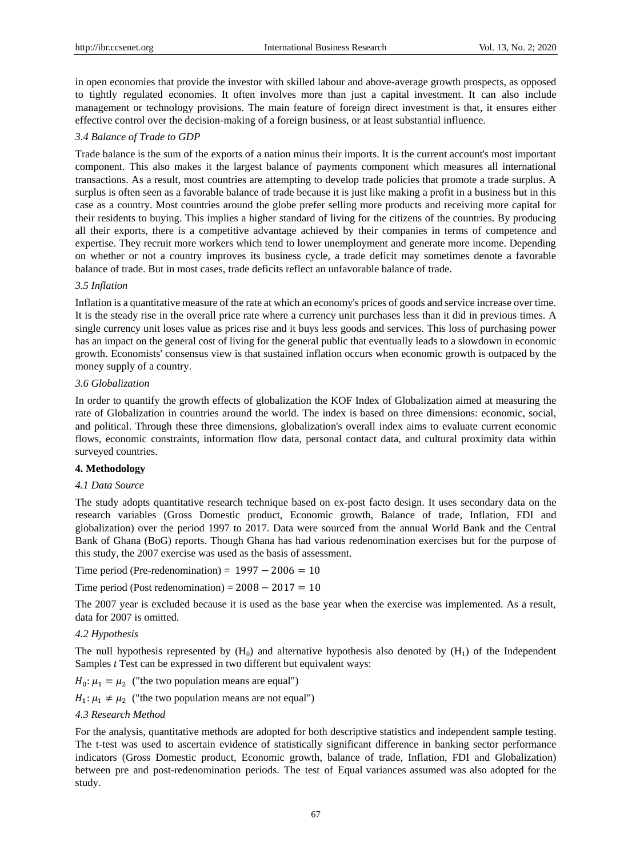in open economies that provide the investor with skilled labour and above-average growth prospects, as opposed to tightly regulated economies. It often involves more than just a capital investment. It can also include management or technology provisions. The main feature of foreign direct investment is that, it ensures either effective control over the decision-making of a foreign business, or at least substantial influence.

#### *3.4 Balance of Trade to GDP*

Trade balance is the sum of the exports of a nation minus their imports. It is the current account's most important component. This also makes it the largest balance of payments component which measures all international transactions. As a result, most countries are attempting to develop trade policies that promote a trade surplus. A surplus is often seen as a favorable balance of trade because it is just like making a profit in a business but in this case as a country. Most countries around the globe prefer selling more products and receiving more capital for their residents to buying. This implies a higher standard of living for the citizens of the countries. By producing all their exports, there is a competitive advantage achieved by their companies in terms of competence and expertise. They recruit more workers which tend to lower unemployment and generate more income. Depending on whether or not a country improves its business cycle, a trade deficit may sometimes denote a favorable balance of trade. But in most cases, trade deficits reflect an unfavorable balance of trade.

# *3.5 Inflation*

Inflation is a quantitative measure of the rate at which an economy's prices of goods and service increase over time. It is the steady rise in the overall price rate where a currency unit purchases less than it did in previous times. A single currency unit loses value as prices rise and it buys less goods and services. This loss of purchasing power has an impact on the general cost of living for the general public that eventually leads to a slowdown in economic growth. Economists' consensus view is that sustained inflation occurs when economic growth is outpaced by the money supply of a country.

## *3.6 Globalization*

In order to quantify the growth effects of globalization the KOF Index of Globalization aimed at measuring the rate of Globalization in countries around the world. The index is based on three dimensions: economic, social, and political. Through these three dimensions, globalization's overall index aims to evaluate current economic flows, economic constraints, information flow data, personal contact data, and cultural proximity data within surveyed countries.

## **4. Methodology**

#### *4.1 Data Source*

The study adopts quantitative research technique based on ex-post facto design. It uses secondary data on the research variables (Gross Domestic product, Economic growth, Balance of trade, Inflation, FDI and globalization) over the period 1997 to 2017. Data were sourced from the annual World Bank and the Central Bank of Ghana (BoG) reports. Though Ghana has had various redenomination exercises but for the purpose of this study, the 2007 exercise was used as the basis of assessment.

Time period (Pre-redenomination) =  $1997 - 2006 = 10$ 

Time period (Post redenomination) =  $2008 - 2017 = 10$ 

The 2007 year is excluded because it is used as the base year when the exercise was implemented. As a result, data for 2007 is omitted.

#### *4.2 Hypothesis*

The null hypothesis represented by  $(H_0)$  and alternative hypothesis also denoted by  $(H_1)$  of the Independent Samples *t* Test can be expressed in two different but equivalent ways:

 $H_0: \mu_1 = \mu_2$  ("the two population means are equal")

 $H_1: \mu_1 \neq \mu_2$  ("the two population means are not equal")

## *4.3 Research Method*

For the analysis, quantitative methods are adopted for both descriptive statistics and independent sample testing. The t-test was used to ascertain evidence of statistically significant difference in banking sector performance indicators (Gross Domestic product, Economic growth, balance of trade, Inflation, FDI and Globalization) between pre and post-redenomination periods. The test of Equal variances assumed was also adopted for the study.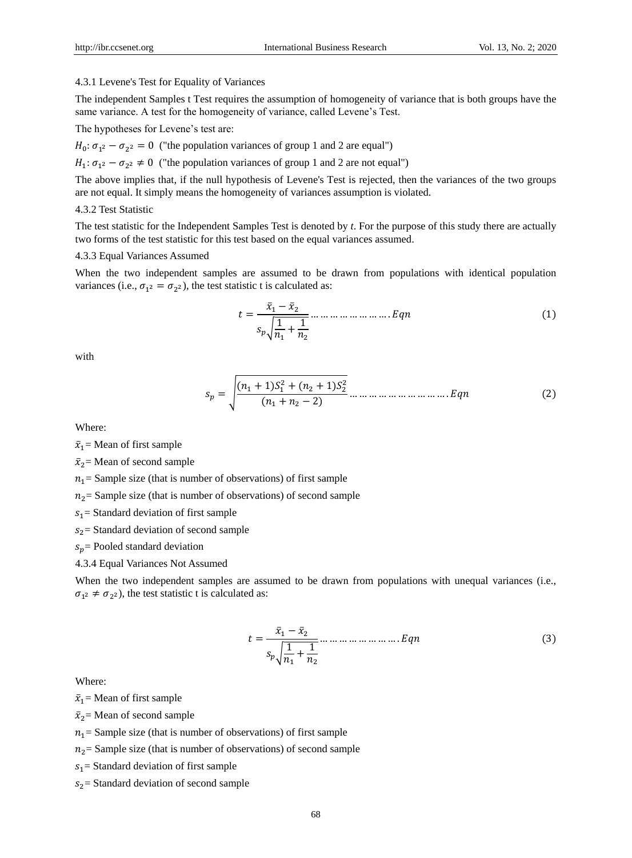#### 4.3.1 Levene's Test for Equality of Variances

The independent Samples t Test requires the assumption of homogeneity of variance that is both groups have the same variance. A test for the homogeneity of variance, called Levene's Test.

The hypotheses for Levene's test are:

 $H_0: \sigma_{1^2} - \sigma_{2^2} = 0$  ("the population variances of group 1 and 2 are equal")

 $H_1: \sigma_{1^2} - \sigma_{2^2} \neq 0$  ("the population variances of group 1 and 2 are not equal")

The above implies that, if the null hypothesis of Levene's Test is rejected, then the variances of the two groups are not equal. It simply means the homogeneity of variances assumption is violated.

## 4.3.2 Test Statistic

The test statistic for the Independent Samples Test is denoted by *t*. For the purpose of this study there are actually two forms of the test statistic for this test based on the equal variances assumed.

#### 4.3.3 Equal Variances Assumed

When the two independent samples are assumed to be drawn from populations with identical population variances (i.e.,  $\sigma_{1^2} = \sigma_{2^2}$ ), the test statistic t is calculated as:

 ̅ ̅ √ + … … … … … … … … . ( )

with

 √ ( + ) + ( + ) ( + ) … … … … … … … … … … . ( )

Where:

 $\bar{x}_1$  = Mean of first sample

 $\bar{x}_2$  = Mean of second sample

 $n_1$  = Sample size (that is number of observations) of first sample

 $n_2$  = Sample size (that is number of observations) of second sample

 $s_1$  = Standard deviation of first sample

 $s_2$  = Standard deviation of second sample

 $s_p$  Pooled standard deviation

4.3.4 Equal Variances Not Assumed

When the two independent samples are assumed to be drawn from populations with unequal variances (i.e.,  $\sigma_{1^2} \neq \sigma_{2^2}$ ), the test statistic t is calculated as:

 ̅ ̅ √ + … … … … … … … … . (3)

Where:

 $\bar{x}_1$  = Mean of first sample

 $\bar{x}_2$  = Mean of second sample

 $n_1$  = Sample size (that is number of observations) of first sample

 $n_2$  = Sample size (that is number of observations) of second sample

 $s_1$  = Standard deviation of first sample

 $s_2$  = Standard deviation of second sample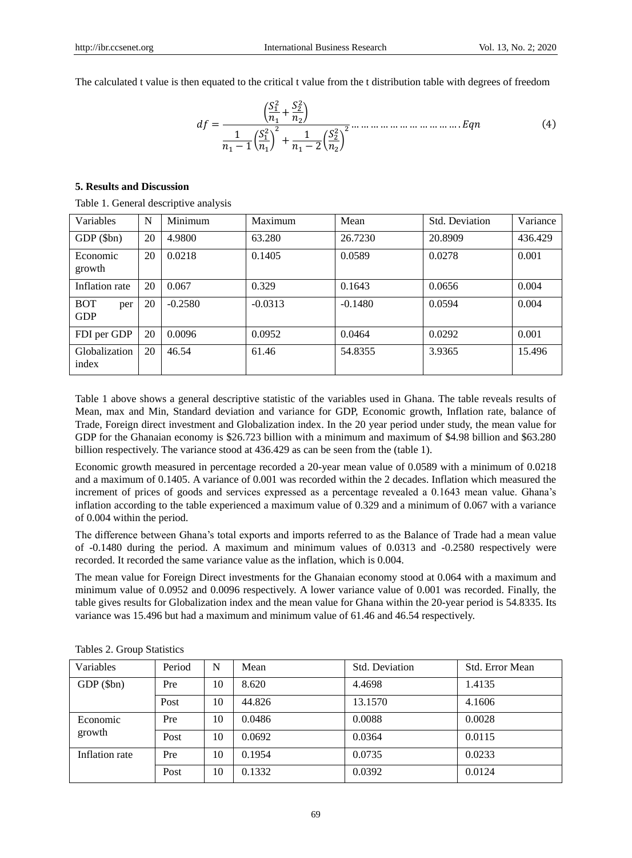The calculated t value is then equated to the critical t value from the t distribution table with degrees of freedom

 ( + ) ( ) + ( ) … … … … … … … … … … … . (4)

#### **5. Results and Discussion**

Table 1. General descriptive analysis

| Variables                       | N  | Minimum   | Maximum   | Mean      | Std. Deviation | Variance |  |
|---------------------------------|----|-----------|-----------|-----------|----------------|----------|--|
| $GDP$ (\$bn)                    | 20 | 4.9800    | 63.280    | 26.7230   | 20.8909        | 436.429  |  |
| Economic<br>growth              | 20 | 0.0218    | 0.1405    | 0.0589    | 0.0278         | 0.001    |  |
| Inflation rate                  | 20 | 0.067     | 0.329     | 0.1643    | 0.0656         | 0.004    |  |
| <b>BOT</b><br>per<br><b>GDP</b> | 20 | $-0.2580$ | $-0.0313$ | $-0.1480$ | 0.0594         | 0.004    |  |
| FDI per GDP                     | 20 | 0.0096    | 0.0952    | 0.0464    | 0.0292         | 0.001    |  |
| Globalization<br>index          | 20 | 46.54     | 61.46     | 54.8355   | 3.9365         | 15.496   |  |

Table 1 above shows a general descriptive statistic of the variables used in Ghana. The table reveals results of Mean, max and Min, Standard deviation and variance for GDP, Economic growth, Inflation rate, balance of Trade, Foreign direct investment and Globalization index. In the 20 year period under study, the mean value for GDP for the Ghanaian economy is \$26.723 billion with a minimum and maximum of \$4.98 billion and \$63.280 billion respectively. The variance stood at 436.429 as can be seen from the (table 1).

Economic growth measured in percentage recorded a 20-year mean value of 0.0589 with a minimum of 0.0218 and a maximum of 0.1405. A variance of 0.001 was recorded within the 2 decades. Inflation which measured the increment of prices of goods and services expressed as a percentage revealed a 0.1643 mean value. Ghana's inflation according to the table experienced a maximum value of 0.329 and a minimum of 0.067 with a variance of 0.004 within the period.

The difference between Ghana's total exports and imports referred to as the Balance of Trade had a mean value of -0.1480 during the period. A maximum and minimum values of 0.0313 and -0.2580 respectively were recorded. It recorded the same variance value as the inflation, which is 0.004.

The mean value for Foreign Direct investments for the Ghanaian economy stood at 0.064 with a maximum and minimum value of 0.0952 and 0.0096 respectively. A lower variance value of 0.001 was recorded. Finally, the table gives results for Globalization index and the mean value for Ghana within the 20-year period is 54.8335. Its variance was 15.496 but had a maximum and minimum value of 61.46 and 46.54 respectively.

| Variables          | Period | N  | Mean   | Std. Deviation | Std. Error Mean |
|--------------------|--------|----|--------|----------------|-----------------|
| GDP (\$bn)         | Pre    | 10 | 8.620  | 4.4698         | 1.4135          |
|                    | Post   | 10 | 44.826 | 13.1570        | 4.1606          |
| Economic<br>growth | Pre    | 10 | 0.0486 | 0.0088         | 0.0028          |
|                    | Post   | 10 | 0.0692 | 0.0364         | 0.0115          |
| Inflation rate     | Pre    | 10 | 0.1954 | 0.0735         | 0.0233          |
|                    | Post   | 10 | 0.1332 | 0.0392         | 0.0124          |

Tables 2. Group Statistics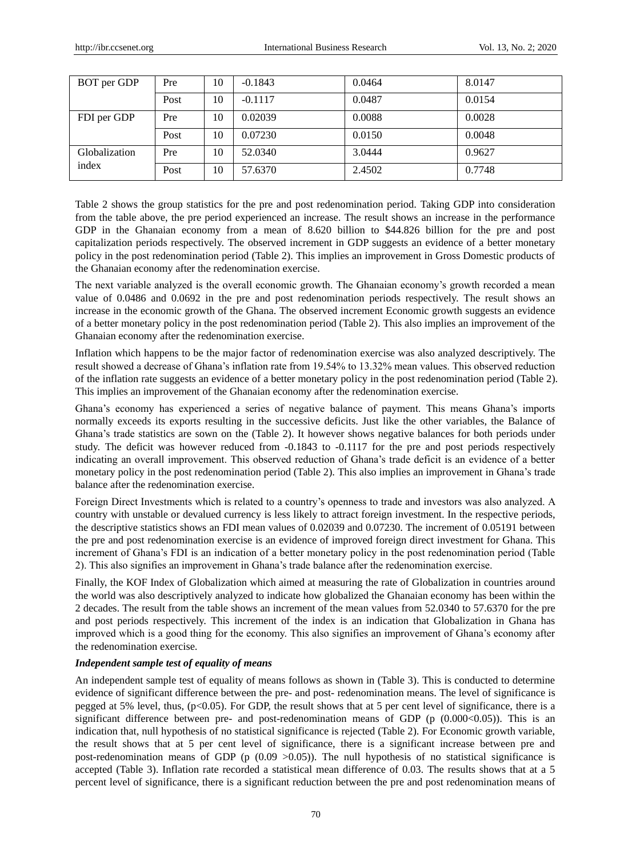| BOT per GDP            | Pre  | 10 | $-0.1843$ | 0.0464 | 8.0147 |
|------------------------|------|----|-----------|--------|--------|
|                        | Post | 10 | $-0.1117$ | 0.0487 | 0.0154 |
| FDI per GDP            | Pre  | 10 | 0.02039   | 0.0088 | 0.0028 |
|                        | Post | 10 | 0.07230   | 0.0150 | 0.0048 |
| Globalization<br>index | Pre  | 10 | 52.0340   | 3.0444 | 0.9627 |
|                        | Post | 10 | 57.6370   | 2.4502 | 0.7748 |

Table 2 shows the group statistics for the pre and post redenomination period. Taking GDP into consideration from the table above, the pre period experienced an increase. The result shows an increase in the performance GDP in the Ghanaian economy from a mean of 8.620 billion to \$44.826 billion for the pre and post capitalization periods respectively. The observed increment in GDP suggests an evidence of a better monetary policy in the post redenomination period (Table 2). This implies an improvement in Gross Domestic products of the Ghanaian economy after the redenomination exercise.

The next variable analyzed is the overall economic growth. The Ghanaian economy's growth recorded a mean value of 0.0486 and 0.0692 in the pre and post redenomination periods respectively. The result shows an increase in the economic growth of the Ghana. The observed increment Economic growth suggests an evidence of a better monetary policy in the post redenomination period (Table 2). This also implies an improvement of the Ghanaian economy after the redenomination exercise.

Inflation which happens to be the major factor of redenomination exercise was also analyzed descriptively. The result showed a decrease of Ghana's inflation rate from 19.54% to 13.32% mean values. This observed reduction of the inflation rate suggests an evidence of a better monetary policy in the post redenomination period (Table 2). This implies an improvement of the Ghanaian economy after the redenomination exercise.

Ghana's economy has experienced a series of negative balance of payment. This means Ghana's imports normally exceeds its exports resulting in the successive deficits. Just like the other variables, the Balance of Ghana's trade statistics are sown on the (Table 2). It however shows negative balances for both periods under study. The deficit was however reduced from -0.1843 to -0.1117 for the pre and post periods respectively indicating an overall improvement. This observed reduction of Ghana's trade deficit is an evidence of a better monetary policy in the post redenomination period (Table 2). This also implies an improvement in Ghana's trade balance after the redenomination exercise.

Foreign Direct Investments which is related to a country's openness to trade and investors was also analyzed. A country with unstable or devalued currency is less likely to attract foreign investment. In the respective periods, the descriptive statistics shows an FDI mean values of 0.02039 and 0.07230. The increment of 0.05191 between the pre and post redenomination exercise is an evidence of improved foreign direct investment for Ghana. This increment of Ghana's FDI is an indication of a better monetary policy in the post redenomination period (Table 2). This also signifies an improvement in Ghana's trade balance after the redenomination exercise.

Finally, the KOF Index of Globalization which aimed at measuring the rate of Globalization in countries around the world was also descriptively analyzed to indicate how globalized the Ghanaian economy has been within the 2 decades. The result from the table shows an increment of the mean values from 52.0340 to 57.6370 for the pre and post periods respectively. This increment of the index is an indication that Globalization in Ghana has improved which is a good thing for the economy. This also signifies an improvement of Ghana's economy after the redenomination exercise.

# *Independent sample test of equality of means*

An independent sample test of equality of means follows as shown in (Table 3). This is conducted to determine evidence of significant difference between the pre- and post- redenomination means. The level of significance is pegged at 5% level, thus, (p<0.05). For GDP, the result shows that at 5 per cent level of significance, there is a significant difference between pre- and post-redenomination means of GDP ( $p(0.000<0.05)$ ). This is an indication that, null hypothesis of no statistical significance is rejected (Table 2). For Economic growth variable, the result shows that at 5 per cent level of significance, there is a significant increase between pre and post-redenomination means of GDP ( $p(0.09 > 0.05)$ ). The null hypothesis of no statistical significance is accepted (Table 3). Inflation rate recorded a statistical mean difference of 0.03. The results shows that at a 5 percent level of significance, there is a significant reduction between the pre and post redenomination means of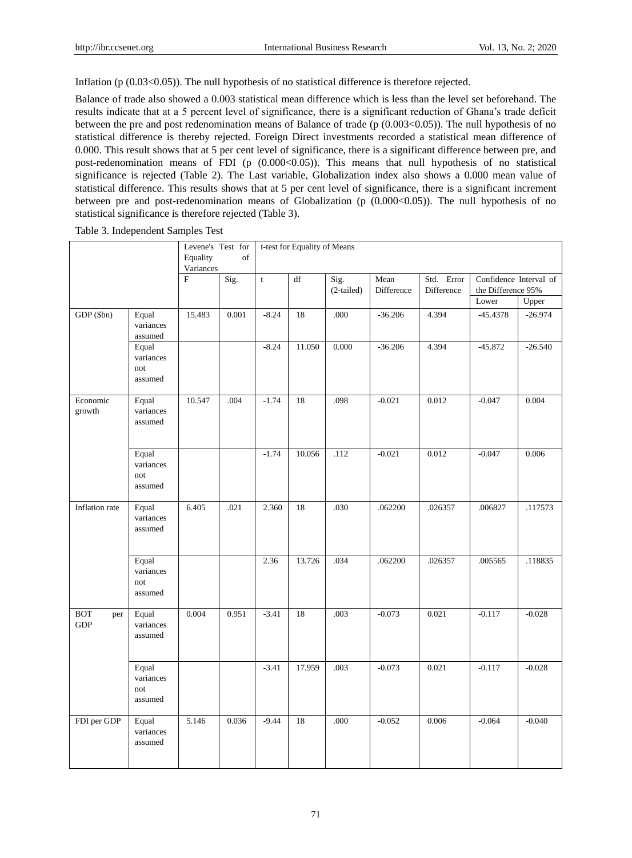Inflation (p  $(0.03<0.05)$ ). The null hypothesis of no statistical difference is therefore rejected.

Balance of trade also showed a 0.003 statistical mean difference which is less than the level set beforehand. The results indicate that at a 5 percent level of significance, there is a significant reduction of Ghana's trade deficit between the pre and post redenomination means of Balance of trade (p (0.003<0.05)). The null hypothesis of no statistical difference is thereby rejected. Foreign Direct investments recorded a statistical mean difference of 0.000. This result shows that at 5 per cent level of significance, there is a significant difference between pre, and post-redenomination means of FDI (p  $(0.000<0.05)$ ). This means that null hypothesis of no statistical significance is rejected (Table 2). The Last variable, Globalization index also shows a 0.000 mean value of statistical difference. This results shows that at 5 per cent level of significance, there is a significant increment between pre and post-redenomination means of Globalization (p  $(0.000<0.05)$ ). The null hypothesis of no statistical significance is therefore rejected (Table 3).

Table 3. Independent Samples Test

|                                           |                                      | Levene's Test for     |       | t-test for Equality of Means |        |                    |                    |                          |                                              |           |  |
|-------------------------------------------|--------------------------------------|-----------------------|-------|------------------------------|--------|--------------------|--------------------|--------------------------|----------------------------------------------|-----------|--|
|                                           |                                      | Equality<br>Variances | of    |                              |        |                    |                    |                          |                                              |           |  |
|                                           |                                      | $\mathbf F$           | Sig.  | $\mathbf t$                  | df     | Sig.<br>(2-tailed) | Mean<br>Difference | Std. Error<br>Difference | Confidence Interval of<br>the Difference 95% |           |  |
|                                           |                                      |                       |       |                              |        |                    |                    |                          | Lower                                        | Upper     |  |
| GDP (\$bn)                                | Equal<br>variances<br>assumed        | 15.483                | 0.001 | $-8.24$                      | 18     | .000               | $-36.206$          | 4.394                    | $-45.4378$                                   | $-26.974$ |  |
|                                           | Equal<br>variances<br>not<br>assumed |                       |       | $-8.24$                      | 11.050 | 0.000              | $-36.206$          | 4.394                    | $-45.872$                                    | $-26.540$ |  |
| Economic<br>growth                        | Equal<br>variances<br>assumed        | 10.547                | .004  | $-1.74$                      | 18     | .098               | $-0.021$           | 0.012                    | $-0.047$                                     | 0.004     |  |
|                                           | Equal<br>variances<br>not<br>assumed |                       |       | $-1.74$                      | 10.056 | .112               | $-0.021$           | 0.012                    | $-0.047$                                     | 0.006     |  |
| Inflation rate                            | Equal<br>variances<br>assumed        | 6.405                 | .021  | 2.360                        | 18     | .030               | .062200            | .026357                  | .006827                                      | .117573   |  |
|                                           | Equal<br>variances<br>not<br>assumed |                       |       | 2.36                         | 13.726 | .034               | .062200            | .026357                  | .005565                                      | .118835   |  |
| $\operatorname{BOT}$<br>per<br><b>GDP</b> | Equal<br>variances<br>assumed        | 0.004                 | 0.951 | $-3.41$                      | 18     | .003               | $-0.073$           | 0.021                    | $-0.117$                                     | $-0.028$  |  |
|                                           | Equal<br>variances<br>not<br>assumed |                       |       | $-3.41$                      | 17.959 | .003               | $-0.073$           | 0.021                    | $-0.117$                                     | $-0.028$  |  |
| FDI per GDP                               | Equal<br>variances<br>assumed        | 5.146                 | 0.036 | $-9.44$                      | 18     | .000               | $-0.052$           | 0.006                    | $-0.064$                                     | $-0.040$  |  |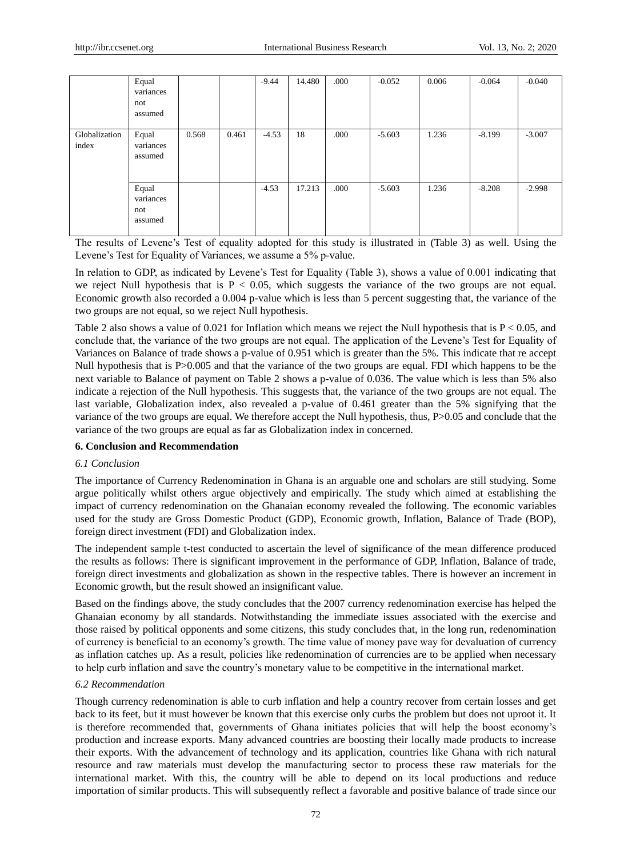|                        | Equal<br>variances<br>not<br>assumed |       |       | $-9.44$ | 14.480 | .000 | $-0.052$ | 0.006 | $-0.064$ | $-0.040$ |
|------------------------|--------------------------------------|-------|-------|---------|--------|------|----------|-------|----------|----------|
| Globalization<br>index | Equal<br>variances<br>assumed        | 0.568 | 0.461 | $-4.53$ | 18     | .000 | $-5.603$ | 1.236 | $-8.199$ | $-3.007$ |
|                        | Equal<br>variances<br>not<br>assumed |       |       | $-4.53$ | 17.213 | .000 | $-5.603$ | 1.236 | $-8.208$ | $-2.998$ |

The results of Levene's Test of equality adopted for this study is illustrated in (Table 3) as well. Using the Levene's Test for Equality of Variances, we assume a 5% p-value.

In relation to GDP, as indicated by Levene's Test for Equality (Table 3), shows a value of 0.001 indicating that we reject Null hypothesis that is  $P < 0.05$ , which suggests the variance of the two groups are not equal. Economic growth also recorded a 0.004 p-value which is less than 5 percent suggesting that, the variance of the two groups are not equal, so we reject Null hypothesis.

Table 2 also shows a value of 0.021 for Inflation which means we reject the Null hypothesis that is  $P < 0.05$ , and conclude that, the variance of the two groups are not equal. The application of the Levene's Test for Equality of Variances on Balance of trade shows a p-value of 0.951 which is greater than the 5%. This indicate that re accept Null hypothesis that is P>0.005 and that the variance of the two groups are equal. FDI which happens to be the next variable to Balance of payment on Table 2 shows a p-value of 0.036. The value which is less than 5% also indicate a rejection of the Null hypothesis. This suggests that, the variance of the two groups are not equal. The last variable, Globalization index, also revealed a p-value of 0.461 greater than the 5% signifying that the variance of the two groups are equal. We therefore accept the Null hypothesis, thus, P>0.05 and conclude that the variance of the two groups are equal as far as Globalization index in concerned.

## **6. Conclusion and Recommendation**

## *6.1 Conclusion*

The importance of Currency Redenomination in Ghana is an arguable one and scholars are still studying. Some argue politically whilst others argue objectively and empirically. The study which aimed at establishing the impact of currency redenomination on the Ghanaian economy revealed the following. The economic variables used for the study are Gross Domestic Product (GDP), Economic growth, Inflation, Balance of Trade (BOP), foreign direct investment (FDI) and Globalization index.

The independent sample t-test conducted to ascertain the level of significance of the mean difference produced the results as follows: There is significant improvement in the performance of GDP, Inflation, Balance of trade, foreign direct investments and globalization as shown in the respective tables. There is however an increment in Economic growth, but the result showed an insignificant value.

Based on the findings above, the study concludes that the 2007 currency redenomination exercise has helped the Ghanaian economy by all standards. Notwithstanding the immediate issues associated with the exercise and those raised by political opponents and some citizens, this study concludes that, in the long run, redenomination of currency is beneficial to an economy's growth. The time value of money pave way for devaluation of currency as inflation catches up. As a result, policies like redenomination of currencies are to be applied when necessary to help curb inflation and save the country's monetary value to be competitive in the international market.

## *6.2 Recommendation*

Though currency redenomination is able to curb inflation and help a country recover from certain losses and get back to its feet, but it must however be known that this exercise only curbs the problem but does not uproot it. It is therefore recommended that, governments of Ghana initiates policies that will help the boost economy's production and increase exports. Many advanced countries are boosting their locally made products to increase their exports. With the advancement of technology and its application, countries like Ghana with rich natural resource and raw materials must develop the manufacturing sector to process these raw materials for the international market. With this, the country will be able to depend on its local productions and reduce importation of similar products. This will subsequently reflect a favorable and positive balance of trade since our